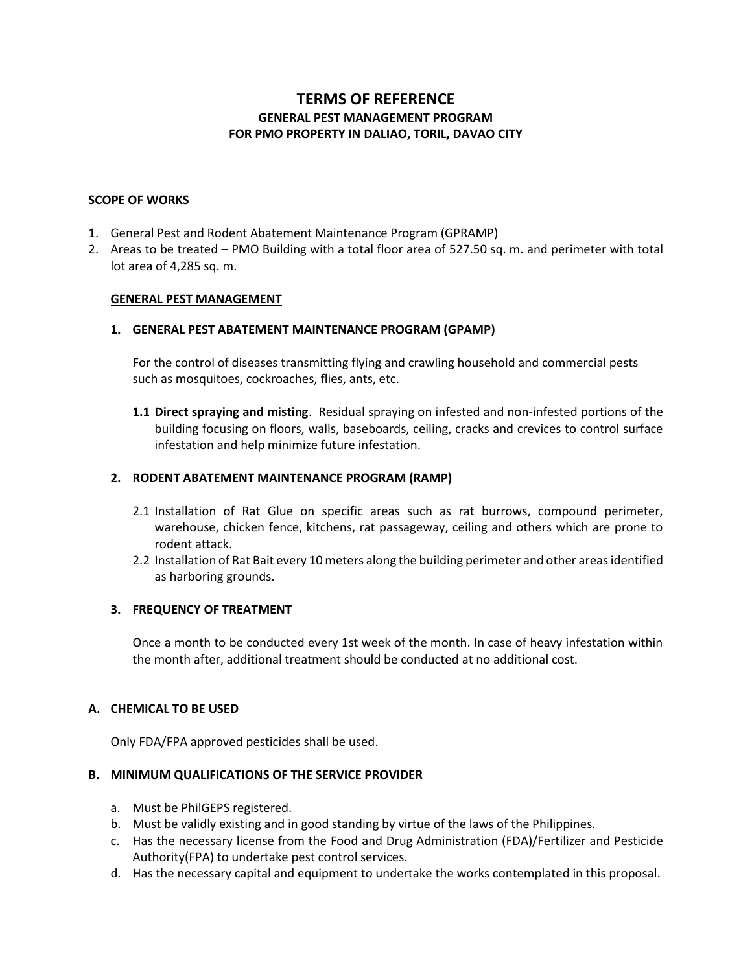# **TERMS OF REFERENCE GENERAL PEST MANAGEMENT PROGRAM FOR PMO PROPERTY IN DALIAO, TORIL, DAVAO CITY**

#### **SCOPE OF WORKS**

- 1. General Pest and Rodent Abatement Maintenance Program (GPRAMP)
- 2. Areas to be treated PMO Building with a total floor area of 527.50 sq. m. and perimeter with total lot area of 4,285 sq. m.

## **GENERAL PEST MANAGEMENT**

## **1. GENERAL PEST ABATEMENT MAINTENANCE PROGRAM (GPAMP)**

For the control of diseases transmitting flying and crawling household and commercial pests such as mosquitoes, cockroaches, flies, ants, etc.

**1.1 Direct spraying and misting**. Residual spraying on infested and non-infested portions of the building focusing on floors, walls, baseboards, ceiling, cracks and crevices to control surface infestation and help minimize future infestation.

## **2. RODENT ABATEMENT MAINTENANCE PROGRAM (RAMP)**

- 2.1 Installation of Rat Glue on specific areas such as rat burrows, compound perimeter, warehouse, chicken fence, kitchens, rat passageway, ceiling and others which are prone to rodent attack.
- 2.2 Installation of Rat Bait every 10 meters along the building perimeter and other areas identified as harboring grounds.

#### **3. FREQUENCY OF TREATMENT**

Once a month to be conducted every 1st week of the month. In case of heavy infestation within the month after, additional treatment should be conducted at no additional cost.

## **A. CHEMICAL TO BE USED**

Only FDA/FPA approved pesticides shall be used.

#### **B. MINIMUM QUALIFICATIONS OF THE SERVICE PROVIDER**

- a. Must be PhilGEPS registered.
- b. Must be validly existing and in good standing by virtue of the laws of the Philippines.
- c. Has the necessary license from the Food and Drug Administration (FDA)/Fertilizer and Pesticide Authority(FPA) to undertake pest control services.
- d. Has the necessary capital and equipment to undertake the works contemplated in this proposal.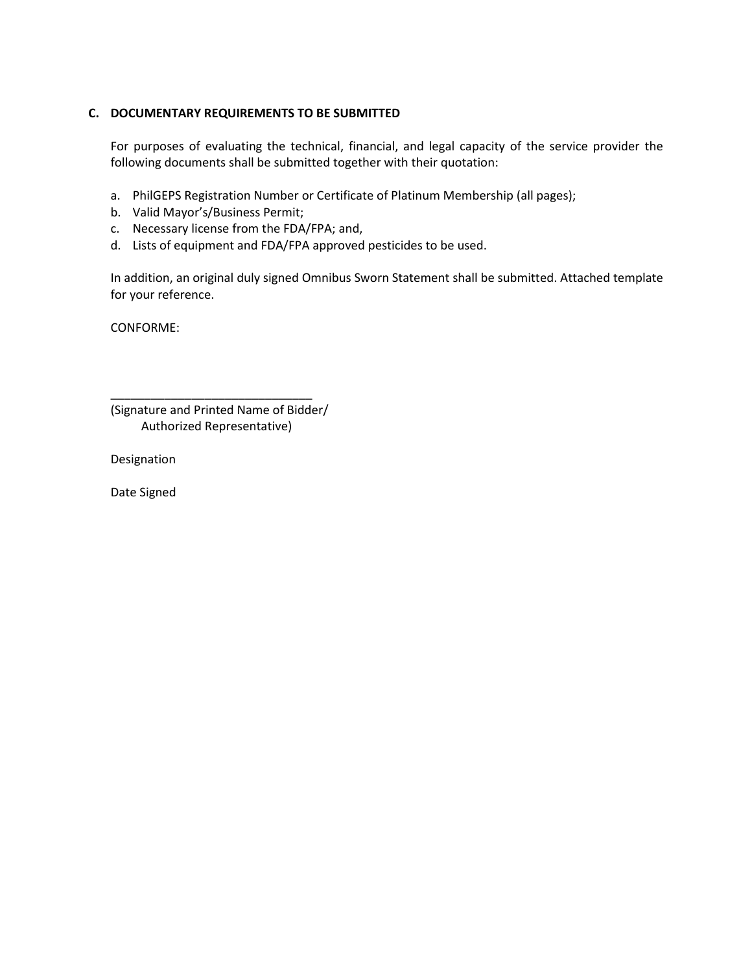# **C. DOCUMENTARY REQUIREMENTS TO BE SUBMITTED**

For purposes of evaluating the technical, financial, and legal capacity of the service provider the following documents shall be submitted together with their quotation:

- a. PhilGEPS Registration Number or Certificate of Platinum Membership (all pages);
- b. Valid Mayor's/Business Permit;
- c. Necessary license from the FDA/FPA; and,
- d. Lists of equipment and FDA/FPA approved pesticides to be used.

In addition, an original duly signed Omnibus Sworn Statement shall be submitted. Attached template for your reference.

CONFORME:

| (Signature and Printed Name of Bidder/ |
|----------------------------------------|
| Authorized Representative)             |

\_\_\_\_\_\_\_\_\_\_\_\_\_\_\_\_\_\_\_\_\_\_\_\_\_\_\_\_\_\_

Designation

Date Signed